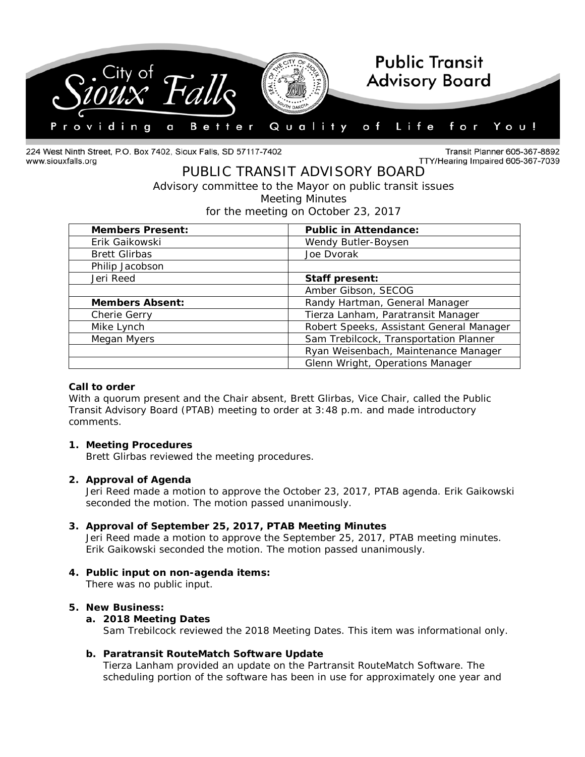

224 West Ninth Street, P.O. Box 7402, Sioux Falls, SD 57117-7402 www.siouxfalls.org

Transit Planner 605-367-8892 TTY/Hearing Impaired 605-367-7039

# PUBLIC TRANSIT ADVISORY BOARD *Advisory committee to the Mayor on public transit issues* Meeting Minutes

for the meeting on October 23, 2017

| <b>Members Present:</b> | <b>Public in Attendance:</b>             |
|-------------------------|------------------------------------------|
| Erik Gaikowski          | Wendy Butler-Boysen                      |
| <b>Brett Glirbas</b>    | Joe Dvorak                               |
| Philip Jacobson         |                                          |
| Jeri Reed               | Staff present:                           |
|                         | Amber Gibson, SECOG                      |
| <b>Members Absent:</b>  | Randy Hartman, General Manager           |
| Cherie Gerry            | Tierza Lanham, Paratransit Manager       |
| Mike Lynch              | Robert Speeks, Assistant General Manager |
| Megan Myers             | Sam Trebilcock, Transportation Planner   |
|                         | Ryan Weisenbach, Maintenance Manager     |
|                         | Glenn Wright, Operations Manager         |

### **Call to order**

With a quorum present and the Chair absent, Brett Glirbas, Vice Chair, called the Public Transit Advisory Board (PTAB) meeting to order at 3:48 p.m. and made introductory comments.

### **1. Meeting Procedures**

Brett Glirbas reviewed the meeting procedures.

### **2. Approval of Agenda**

Jeri Reed made a motion to approve the October 23, 2017, PTAB agenda. Erik Gaikowski seconded the motion. The motion passed unanimously.

### **3. Approval of September 25, 2017, PTAB Meeting Minutes**

Jeri Reed made a motion to approve the September 25, 2017, PTAB meeting minutes. Erik Gaikowski seconded the motion. The motion passed unanimously.

# **4. Public input on non-agenda items:**

There was no public input.

#### **5. New Business:**

## **a. 2018 Meeting Dates**

Sam Trebilcock reviewed the 2018 Meeting Dates. This item was informational only.

### **b. Paratransit RouteMatch Software Update**

Tierza Lanham provided an update on the Partransit RouteMatch Software. The scheduling portion of the software has been in use for approximately one year and